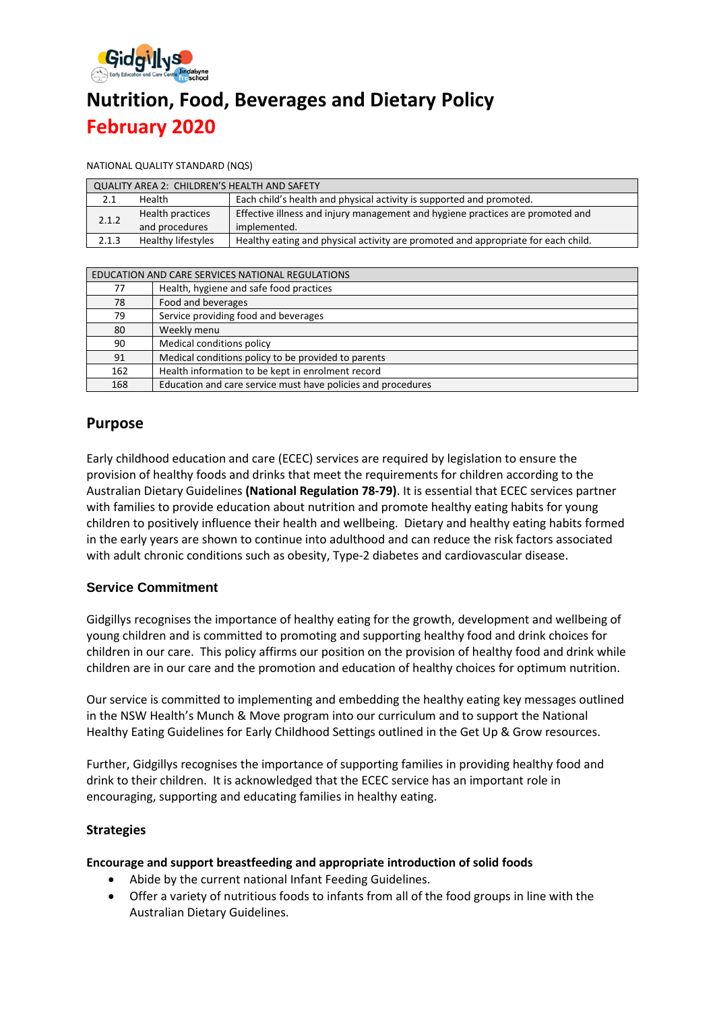

# **Nutrition, Food, Beverages and Dietary Policy February 2020**

NATIONAL QUALITY STANDARD (NQS)

| <b>QUALITY AREA 2: CHILDREN'S HEALTH AND SAFETY</b> |                    |                                                                                   |  |  |
|-----------------------------------------------------|--------------------|-----------------------------------------------------------------------------------|--|--|
| 2.1                                                 | Health             | Each child's health and physical activity is supported and promoted.              |  |  |
| 2.1.2                                               | Health practices   | Effective illness and injury management and hygiene practices are promoted and    |  |  |
|                                                     | and procedures     | implemented.                                                                      |  |  |
| 2.1.3                                               | Healthy lifestyles | Healthy eating and physical activity are promoted and appropriate for each child. |  |  |

| EDUCATION AND CARE SERVICES NATIONAL REGULATIONS |                                                              |  |  |
|--------------------------------------------------|--------------------------------------------------------------|--|--|
| 77                                               | Health, hygiene and safe food practices                      |  |  |
| 78                                               | Food and beverages                                           |  |  |
| 79                                               | Service providing food and beverages                         |  |  |
| 80                                               | Weekly menu                                                  |  |  |
| 90                                               | Medical conditions policy                                    |  |  |
| 91                                               | Medical conditions policy to be provided to parents          |  |  |
| 162                                              | Health information to be kept in enrolment record            |  |  |
| 168                                              | Education and care service must have policies and procedures |  |  |

# **Purpose**

Early childhood education and care (ECEC) services are required by legislation to ensure the provision of healthy foods and drinks that meet the requirements for children according to the Australian Dietary Guidelines **(National Regulation 78-79)**. It is essential that ECEC services partner with families to provide education about nutrition and promote healthy eating habits for young children to positively influence their health and wellbeing. Dietary and healthy eating habits formed in the early years are shown to continue into adulthood and can reduce the risk factors associated with adult chronic conditions such as obesity, Type-2 diabetes and cardiovascular disease.

## **Service Commitment**

Gidgillys recognises the importance of healthy eating for the growth, development and wellbeing of young children and is committed to promoting and supporting healthy food and drink choices for children in our care. This policy affirms our position on the provision of healthy food and drink while children are in our care and the promotion and education of healthy choices for optimum nutrition.

Our service is committed to implementing and embedding the healthy eating key messages outlined in the NSW Health's Munch & Move program into our curriculum and to support the National Healthy Eating Guidelines for Early Childhood Settings outlined in the Get Up & Grow resources.

Further, Gidgillys recognises the importance of supporting families in providing healthy food and drink to their children. It is acknowledged that the ECEC service has an important role in encouraging, supporting and educating families in healthy eating.

#### **Strategies**

#### **Encourage and support breastfeeding and appropriate introduction of solid foods**

- Abide by the current national Infant Feeding Guidelines.
- Offer a variety of nutritious foods to infants from all of the food groups in line with the Australian Dietary Guidelines.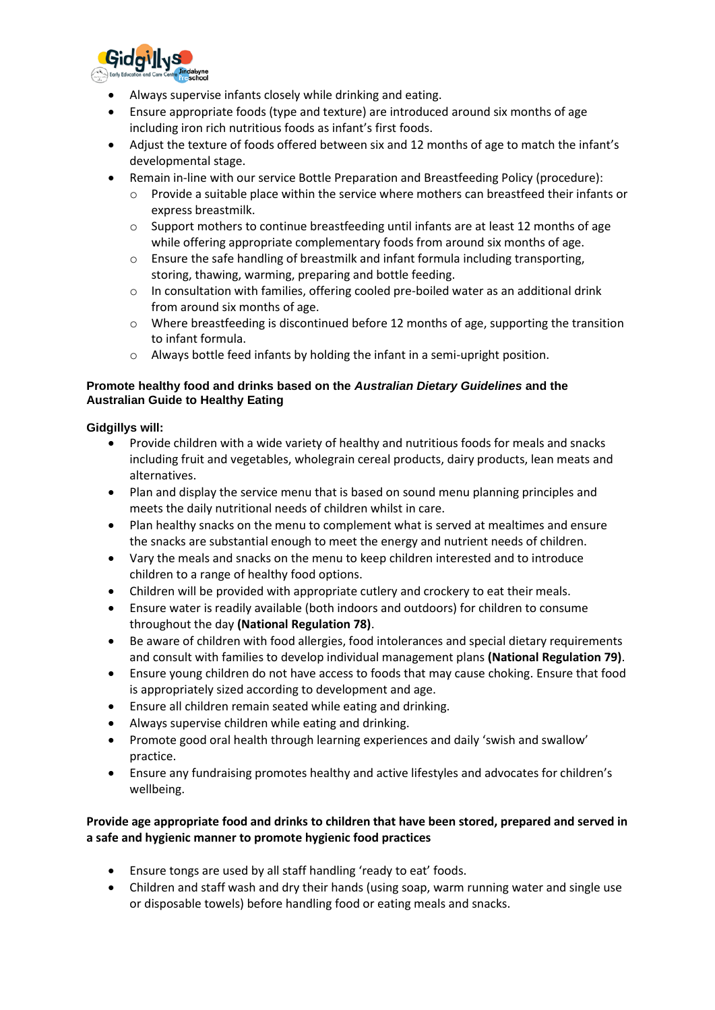

- Always supervise infants closely while drinking and eating.
- Ensure appropriate foods (type and texture) are introduced around six months of age including iron rich nutritious foods as infant's first foods.
- Adjust the texture of foods offered between six and 12 months of age to match the infant's developmental stage.
- Remain in-line with our service Bottle Preparation and Breastfeeding Policy (procedure):
	- o Provide a suitable place within the service where mothers can breastfeed their infants or express breastmilk.
	- $\circ$  Support mothers to continue breastfeeding until infants are at least 12 months of age while offering appropriate complementary foods from around six months of age.
	- $\circ$  Ensure the safe handling of breastmilk and infant formula including transporting, storing, thawing, warming, preparing and bottle feeding.
	- $\circ$  In consultation with families, offering cooled pre-boiled water as an additional drink from around six months of age.
	- $\circ$  Where breastfeeding is discontinued before 12 months of age, supporting the transition to infant formula.
	- o Always bottle feed infants by holding the infant in a semi-upright position.

#### **Promote healthy food and drinks based on the** *Australian Dietary Guidelines* **and the Australian Guide to Healthy Eating**

#### **Gidgillys will:**

- Provide children with a wide variety of healthy and nutritious foods for meals and snacks including fruit and vegetables, wholegrain cereal products, dairy products, lean meats and alternatives.
- Plan and display the service menu that is based on sound menu planning principles and meets the daily nutritional needs of children whilst in care.
- Plan healthy snacks on the menu to complement what is served at mealtimes and ensure the snacks are substantial enough to meet the energy and nutrient needs of children.
- Vary the meals and snacks on the menu to keep children interested and to introduce children to a range of healthy food options.
- Children will be provided with appropriate cutlery and crockery to eat their meals.
- Ensure water is readily available (both indoors and outdoors) for children to consume throughout the day **(National Regulation 78)**.
- Be aware of children with food allergies, food intolerances and special dietary requirements and consult with families to develop individual management plans **(National Regulation 79)**.
- Ensure young children do not have access to foods that may cause choking. Ensure that food is appropriately sized according to development and age.
- Ensure all children remain seated while eating and drinking.
- Always supervise children while eating and drinking.
- Promote good oral health through learning experiences and daily 'swish and swallow' practice.
- Ensure any fundraising promotes healthy and active lifestyles and advocates for children's wellbeing.

#### **Provide age appropriate food and drinks to children that have been stored, prepared and served in a safe and hygienic manner to promote hygienic food practices**

- Ensure tongs are used by all staff handling 'ready to eat' foods.
- Children and staff wash and dry their hands (using soap, warm running water and single use or disposable towels) before handling food or eating meals and snacks.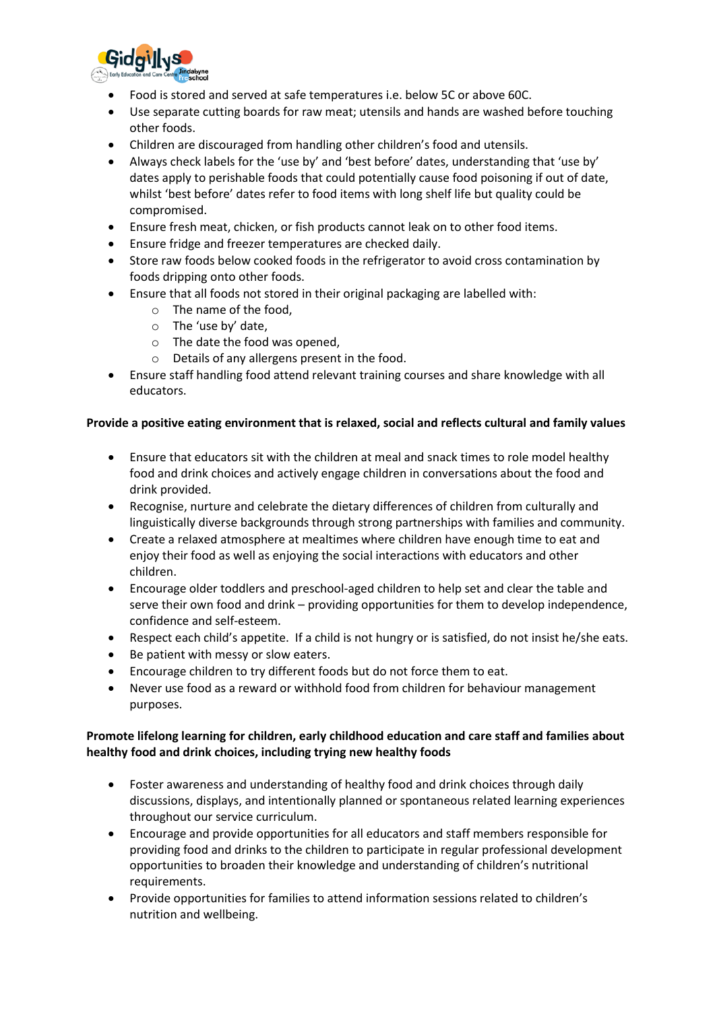

- Food is stored and served at safe temperatures i.e. below 5C or above 60C.
- Use separate cutting boards for raw meat; utensils and hands are washed before touching other foods.
- Children are discouraged from handling other children's food and utensils.
- Always check labels for the 'use by' and 'best before' dates, understanding that 'use by' dates apply to perishable foods that could potentially cause food poisoning if out of date, whilst 'best before' dates refer to food items with long shelf life but quality could be compromised.
- Ensure fresh meat, chicken, or fish products cannot leak on to other food items.
- Ensure fridge and freezer temperatures are checked daily.
- Store raw foods below cooked foods in the refrigerator to avoid cross contamination by foods dripping onto other foods.
- Ensure that all foods not stored in their original packaging are labelled with:
	- o The name of the food,
	- o The 'use by' date,
	- o The date the food was opened,
	- o Details of any allergens present in the food.
- Ensure staff handling food attend relevant training courses and share knowledge with all educators.

#### **Provide a positive eating environment that is relaxed, social and reflects cultural and family values**

- Ensure that educators sit with the children at meal and snack times to role model healthy food and drink choices and actively engage children in conversations about the food and drink provided.
- Recognise, nurture and celebrate the dietary differences of children from culturally and linguistically diverse backgrounds through strong partnerships with families and community.
- Create a relaxed atmosphere at mealtimes where children have enough time to eat and enjoy their food as well as enjoying the social interactions with educators and other children.
- Encourage older toddlers and preschool-aged children to help set and clear the table and serve their own food and drink – providing opportunities for them to develop independence, confidence and self-esteem.
- Respect each child's appetite. If a child is not hungry or is satisfied, do not insist he/she eats.
- Be patient with messy or slow eaters.
- Encourage children to try different foods but do not force them to eat.
- Never use food as a reward or withhold food from children for behaviour management purposes.

#### **Promote lifelong learning for children, early childhood education and care staff and families about healthy food and drink choices, including trying new healthy foods**

- Foster awareness and understanding of healthy food and drink choices through daily discussions, displays, and intentionally planned or spontaneous related learning experiences throughout our service curriculum.
- Encourage and provide opportunities for all educators and staff members responsible for providing food and drinks to the children to participate in regular professional development opportunities to broaden their knowledge and understanding of children's nutritional requirements.
- Provide opportunities for families to attend information sessions related to children's nutrition and wellbeing.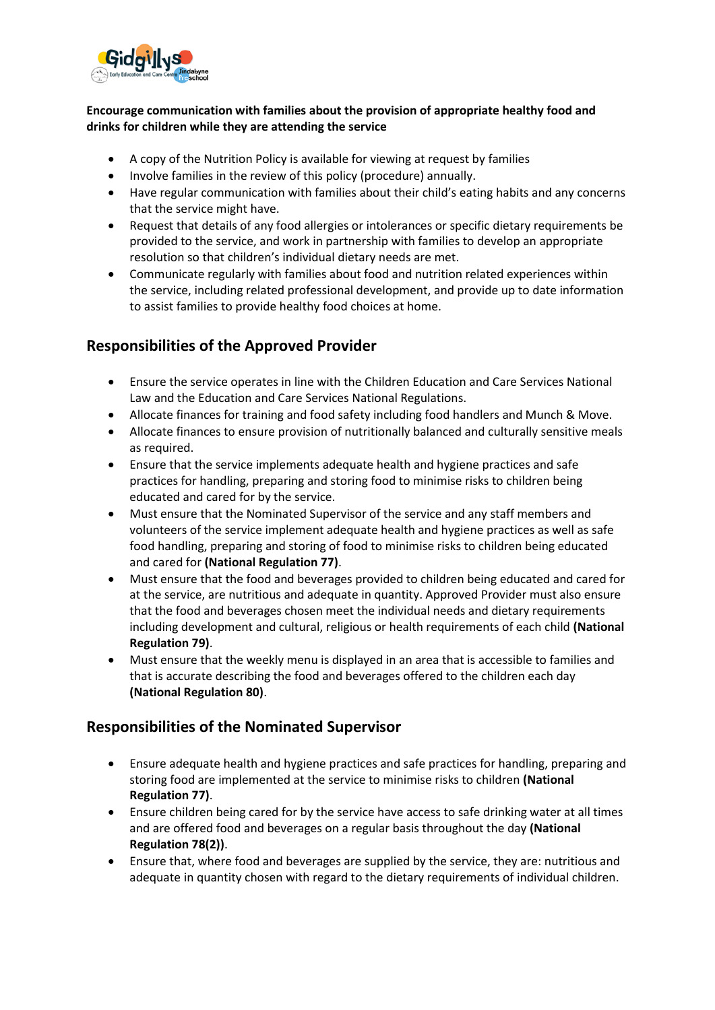

#### **Encourage communication with families about the provision of appropriate healthy food and drinks for children while they are attending the service**

- A copy of the Nutrition Policy is available for viewing at request by families
- Involve families in the review of this policy (procedure) annually.
- Have regular communication with families about their child's eating habits and any concerns that the service might have.
- Request that details of any food allergies or intolerances or specific dietary requirements be provided to the service, and work in partnership with families to develop an appropriate resolution so that children's individual dietary needs are met.
- Communicate regularly with families about food and nutrition related experiences within the service, including related professional development, and provide up to date information to assist families to provide healthy food choices at home.

# **Responsibilities of the Approved Provider**

- Ensure the service operates in line with the Children Education and Care Services National Law and the Education and Care Services National Regulations.
- Allocate finances for training and food safety including food handlers and Munch & Move.
- Allocate finances to ensure provision of nutritionally balanced and culturally sensitive meals as required.
- Ensure that the service implements adequate health and hygiene practices and safe practices for handling, preparing and storing food to minimise risks to children being educated and cared for by the service.
- Must ensure that the Nominated Supervisor of the service and any staff members and volunteers of the service implement adequate health and hygiene practices as well as safe food handling, preparing and storing of food to minimise risks to children being educated and cared for **(National Regulation 77)**.
- Must ensure that the food and beverages provided to children being educated and cared for at the service, are nutritious and adequate in quantity. Approved Provider must also ensure that the food and beverages chosen meet the individual needs and dietary requirements including development and cultural, religious or health requirements of each child **(National Regulation 79)**.
- Must ensure that the weekly menu is displayed in an area that is accessible to families and that is accurate describing the food and beverages offered to the children each day **(National Regulation 80)**.

# **Responsibilities of the Nominated Supervisor**

- Ensure adequate health and hygiene practices and safe practices for handling, preparing and storing food are implemented at the service to minimise risks to children **(National Regulation 77)**.
- Ensure children being cared for by the service have access to safe drinking water at all times and are offered food and beverages on a regular basis throughout the day **(National Regulation 78(2))**.
- Ensure that, where food and beverages are supplied by the service, they are: nutritious and adequate in quantity chosen with regard to the dietary requirements of individual children.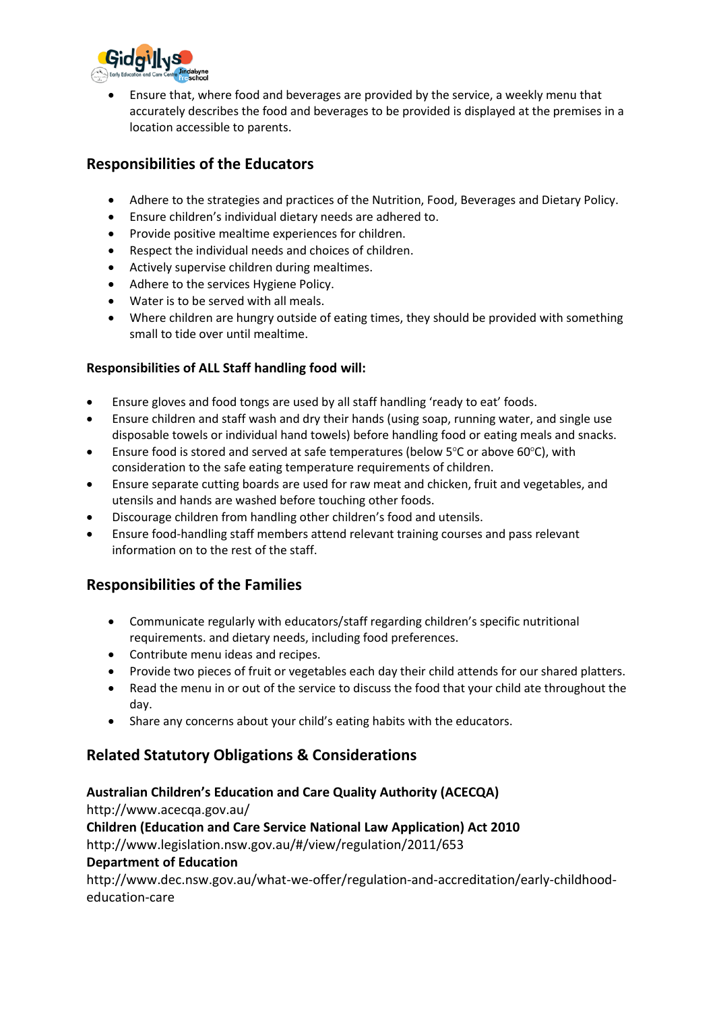

• Ensure that, where food and beverages are provided by the service, a weekly menu that accurately describes the food and beverages to be provided is displayed at the premises in a location accessible to parents.

# **Responsibilities of the Educators**

- Adhere to the strategies and practices of the Nutrition, Food, Beverages and Dietary Policy.
- Ensure children's individual dietary needs are adhered to.
- Provide positive mealtime experiences for children.
- Respect the individual needs and choices of children.
- Actively supervise children during mealtimes.
- Adhere to the services Hygiene Policy.
- Water is to be served with all meals.
- Where children are hungry outside of eating times, they should be provided with something small to tide over until mealtime.

## **Responsibilities of ALL Staff handling food will:**

- Ensure gloves and food tongs are used by all staff handling 'ready to eat' foods.
- Ensure children and staff wash and dry their hands (using soap, running water, and single use disposable towels or individual hand towels) before handling food or eating meals and snacks.
- Ensure food is stored and served at safe temperatures (below  $5^{\circ}$ C or above 60 $^{\circ}$ C), with consideration to the safe eating temperature requirements of children.
- Ensure separate cutting boards are used for raw meat and chicken, fruit and vegetables, and utensils and hands are washed before touching other foods.
- Discourage children from handling other children's food and utensils.
- Ensure food-handling staff members attend relevant training courses and pass relevant information on to the rest of the staff.

# **Responsibilities of the Families**

- Communicate regularly with educators/staff regarding children's specific nutritional requirements. and dietary needs, including food preferences.
- Contribute menu ideas and recipes.
- Provide two pieces of fruit or vegetables each day their child attends for our shared platters.
- Read the menu in or out of the service to discuss the food that your child ate throughout the day.
- Share any concerns about your child's eating habits with the educators.

# **Related Statutory Obligations & Considerations**

## **Australian Children's Education and Care Quality Authority (ACECQA)**

http://www.acecqa.gov.au/

**Children (Education and Care Service National Law Application) Act 2010** 

http://www.legislation.nsw.gov.au/#/view/regulation/2011/653

## **Department of Education**

http://www.dec.nsw.gov.au/what-we-offer/regulation-and-accreditation/early-childhoodeducation-care